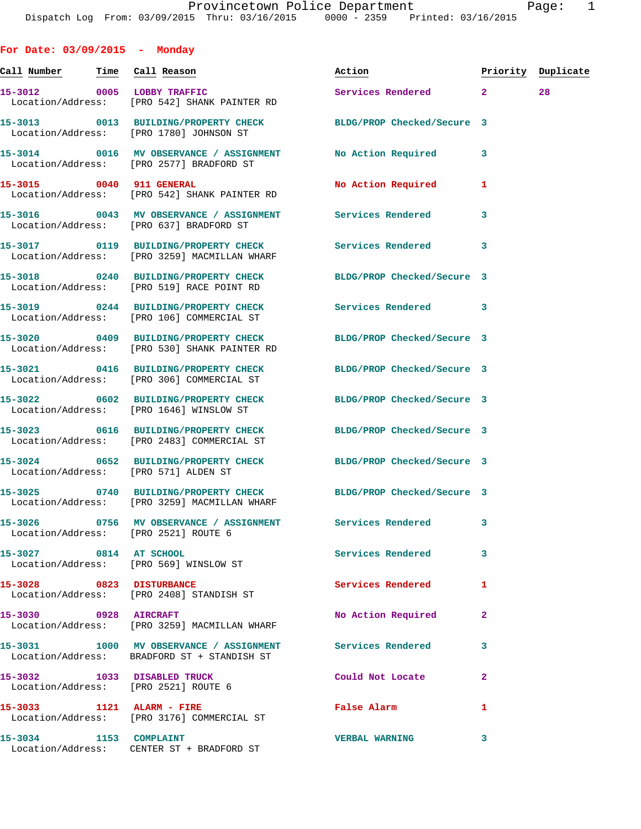| For Date: 03/09/2015 - Monday                                    |                                                                                                                 |                            |              |                    |
|------------------------------------------------------------------|-----------------------------------------------------------------------------------------------------------------|----------------------------|--------------|--------------------|
| <u>Call Number — Time Ca</u> ll Reason                           |                                                                                                                 | Action                     |              | Priority Duplicate |
|                                                                  | 15-3012 0005 LOBBY TRAFFIC<br>Location/Address: [PRO 542] SHANK PAINTER RD                                      | Services Rendered 2        |              | 28                 |
|                                                                  | 15-3013 0013 BUILDING/PROPERTY CHECK BLDG/PROP Checked/Secure 3<br>Location/Address: [PRO 1780] JOHNSON ST      |                            |              |                    |
|                                                                  | 15-3014 0016 MV OBSERVANCE / ASSIGNMENT<br>Location/Address: [PRO 2577] BRADFORD ST                             | No Action Required         | 3            |                    |
|                                                                  | 15-3015 0040 911 GENERAL<br>Location/Address: [PRO 542] SHANK PAINTER RD                                        | No Action Required         | 1            |                    |
|                                                                  | 15-3016 0043 MV OBSERVANCE / ASSIGNMENT Services Rendered<br>Location/Address: [PRO 637] BRADFORD ST            |                            | 3            |                    |
|                                                                  | 15-3017 0119 BUILDING/PROPERTY CHECK Services Rendered<br>Location/Address: [PRO 3259] MACMILLAN WHARF          |                            | 3            |                    |
|                                                                  | 15-3018 0240 BUILDING/PROPERTY CHECK BLDG/PROP Checked/Secure 3<br>Location/Address: [PRO 519] RACE POINT RD    |                            |              |                    |
|                                                                  | 15-3019 0244 BUILDING/PROPERTY CHECK Services Rendered<br>Location/Address: [PRO 106] COMMERCIAL ST             |                            | 3            |                    |
|                                                                  | 15-3020 0409 BUILDING/PROPERTY CHECK<br>Location/Address: [PRO 530] SHANK PAINTER RD                            | BLDG/PROP Checked/Secure 3 |              |                    |
|                                                                  | 15-3021 0416 BUILDING/PROPERTY CHECK BLDG/PROP Checked/Secure 3<br>Location/Address: [PRO 306] COMMERCIAL ST    |                            |              |                    |
|                                                                  | 15-3022 0602 BUILDING/PROPERTY CHECK BLDG/PROP Checked/Secure 3<br>Location/Address: [PRO 1646] WINSLOW ST      |                            |              |                    |
|                                                                  | 15-3023 0616 BUILDING/PROPERTY CHECK<br>Location/Address: [PRO 2483] COMMERCIAL ST                              | BLDG/PROP Checked/Secure 3 |              |                    |
| Location/Address: [PRO 571] ALDEN ST                             | 15-3024 0652 BUILDING/PROPERTY CHECK                                                                            | BLDG/PROP Checked/Secure 3 |              |                    |
|                                                                  | 15-3025 0740 BUILDING/PROPERTY CHECK BLDG/PROP Checked/Secure 3<br>Location/Address: [PRO 3259] MACMILLAN WHARF |                            |              |                    |
| Location/Address: [PRO 2521] ROUTE 6                             | 15-3026 0756 MV OBSERVANCE / ASSIGNMENT Services Rendered                                                       |                            | 3            |                    |
| 15-3027 0814 AT SCHOOL<br>Location/Address: [PRO 569] WINSLOW ST |                                                                                                                 | Services Rendered          | 3            |                    |
| 15-3028 0823 DISTURBANCE                                         | Location/Address: [PRO 2408] STANDISH ST                                                                        | Services Rendered          | 1            |                    |
|                                                                  | 15-3030 0928 AIRCRAFT<br>Location/Address: [PRO 3259] MACMILLAN WHARF                                           | No Action Required         | $\mathbf{2}$ |                    |
|                                                                  | 15-3031 1000 MV OBSERVANCE / ASSIGNMENT Services Rendered<br>Location/Address: BRADFORD ST + STANDISH ST        |                            | 3            |                    |
| 15-3032 1033 DISABLED TRUCK                                      | Location/Address: [PRO 2521] ROUTE 6                                                                            | Could Not Locate           | $\mathbf{2}$ |                    |
| 15-3033 1121 ALARM - FIRE                                        | Location/Address: [PRO 3176] COMMERCIAL ST                                                                      | False Alarm                | 1            |                    |
| 15-3034 1153 COMPLAINT                                           | Location/Address: CENTER ST + BRADFORD ST                                                                       | <b>VERBAL WARNING</b>      | 3            |                    |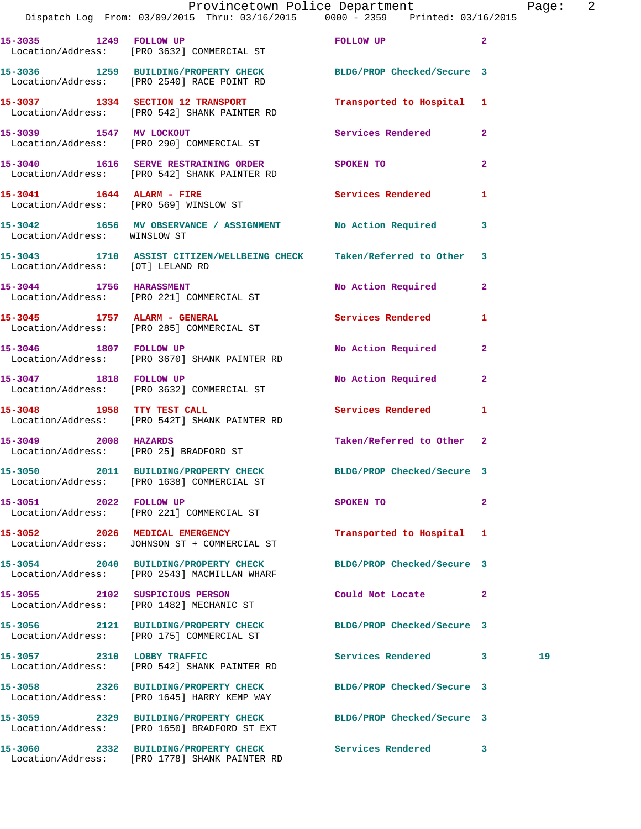|                                  | Dispatch Log From: 03/09/2015 Thru: 03/16/2015 0000 - 2359 Printed: 03/16/2015                                | Provincetown Police Department |                            | Page: | 2 |
|----------------------------------|---------------------------------------------------------------------------------------------------------------|--------------------------------|----------------------------|-------|---|
|                                  | 15-3035 1249 FOLLOW UP CONTROLLOW FOLLOW UP<br>Location/Address: [PRO 3632] COMMERCIAL ST                     |                                | $\overline{\phantom{0}}$ 2 |       |   |
|                                  | 15-3036 1259 BUILDING/PROPERTY CHECK BLDG/PROP Checked/Secure 3<br>Location/Address: [PRO 2540] RACE POINT RD |                                |                            |       |   |
|                                  | 15-3037 1334 SECTION 12 TRANSPORT<br>Location/Address: [PRO 542] SHANK PAINTER RD                             | Transported to Hospital 1      |                            |       |   |
|                                  | 15-3039 1547 MV LOCKOUT<br>Location/Address: [PRO 290] COMMERCIAL ST                                          | Services Rendered              | $\overline{2}$             |       |   |
|                                  | 15-3040 1616 SERVE RESTRAINING ORDER<br>Location/Address: [PRO 542] SHANK PAINTER RD                          | SPOKEN TO                      | $\mathbf{2}$               |       |   |
|                                  | 15-3041 1644 ALARM - FIRE<br>Location/Address: [PRO 569] WINSLOW ST                                           | <b>Services Rendered</b>       | -1                         |       |   |
| Location/Address: WINSLOW ST     | 15-3042 1656 MV OBSERVANCE / ASSIGNMENT No Action Required 3                                                  |                                |                            |       |   |
| Location/Address: [OT] LELAND RD | 15-3043 1710 ASSIST CITIZEN/WELLBEING CHECK Taken/Referred to Other 3                                         |                                |                            |       |   |
| 15-3044 1756 HARASSMENT          | Location/Address: [PRO 221] COMMERCIAL ST                                                                     | No Action Required             | $\overline{2}$             |       |   |

**15-3045 1757 ALARM - GENERAL Services Rendered 1**  Location/Address: [PRO 285] COMMERCIAL ST

15-3046 1807 FOLLOW UP **No Action Required** 2 Location/Address: [PRO 3670] SHANK PAINTER RD

**15-3047 1818 FOLLOW UP No Action Required 2**  Location/Address: [PRO 3632] COMMERCIAL ST

Location/Address: [PRO 542T] SHANK PAINTER RD

Location/Address: [PRO 25] BRADFORD ST

Location/Address: [PRO 1638] COMMERCIAL ST

Location/Address: [PRO 221] COMMERCIAL ST

Location/Address: JOHNSON ST + COMMERCIAL ST

Location/Address: [PRO 2543] MACMILLAN WHARF

Location/Address: [PRO 1482] MECHANIC ST

Location/Address: [PRO 175] COMMERCIAL ST

15-3057 2310 LOBBY TRAFFIC Services Rendered 3 19 Location/Address: [PRO 542] SHANK PAINTER RD

**15-3058 2326 BUILDING/PROPERTY CHECK BLDG/PROP Checked/Secure 3**  Location/Address: [PRO 1645] HARRY KEMP WAY

**15-3059 2329 BUILDING/PROPERTY CHECK BLDG/PROP Checked/Secure 3**  Location/Address: [PRO 1650] BRADFORD ST EXT

**15-3060 2332 BUILDING/PROPERTY CHECK Services Rendered 3**  Location/Address: [PRO 1778] SHANK PAINTER RD

**15-3048 1958 TTY TEST CALL Services Rendered 1 15-3049 2008 HAZARDS Taken/Referred to Other 2** 

**15-3050 2011 BUILDING/PROPERTY CHECK BLDG/PROP Checked/Secure 3** 

**15-3051 2022 FOLLOW UP SPOKEN TO 2** 

**15-3052 2026 MEDICAL EMERGENCY Transported to Hospital 1** 

**15-3054 2040 BUILDING/PROPERTY CHECK BLDG/PROP Checked/Secure 3** 

**15-3055 2102 SUSPICIOUS PERSON Could Not Locate 2** 

**15-3056 2121 BUILDING/PROPERTY CHECK BLDG/PROP Checked/Secure 3**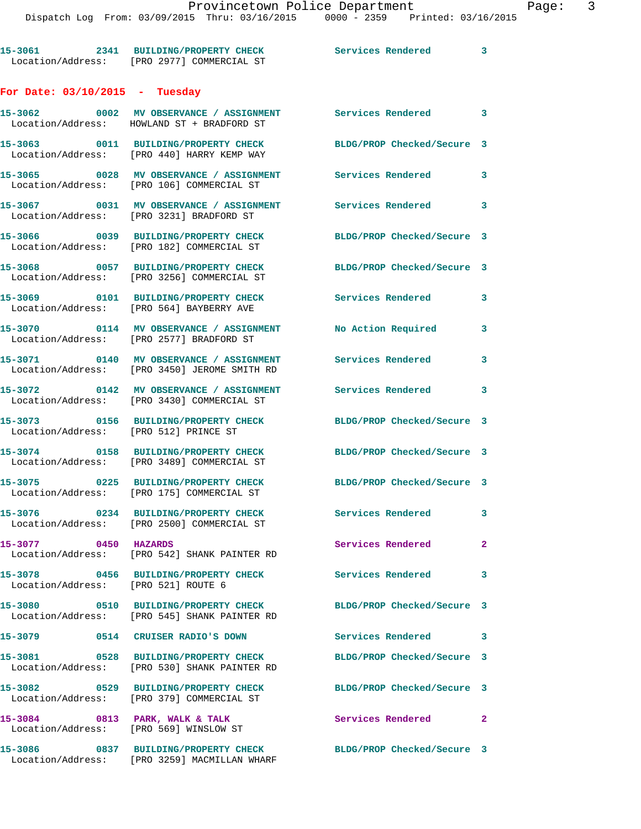**15-3061 2341 BUILDING/PROPERTY CHECK Services Rendered 3** 

Location/Address: [PRO 2977] COMMERCIAL ST

**For Date: 03/10/2015 - Tuesday**

|                                       | 15-3062 0002 MV OBSERVANCE / ASSIGNMENT Services Rendered 3<br>Location/Address: HOWLAND ST + BRADFORD ST   |                            |              |
|---------------------------------------|-------------------------------------------------------------------------------------------------------------|----------------------------|--------------|
|                                       | 15-3063 0011 BUILDING/PROPERTY CHECK<br>Location/Address: [PRO 440] HARRY KEMP WAY                          | BLDG/PROP Checked/Secure 3 |              |
|                                       | 15-3065 0028 MV OBSERVANCE / ASSIGNMENT Services Rendered                                                   |                            | 3            |
|                                       | Location/Address: [PRO 106] COMMERCIAL ST<br>15-3067 0031 MV OBSERVANCE / ASSIGNMENT Services Rendered      |                            | 3            |
|                                       | Location/Address: [PRO 3231] BRADFORD ST<br>15-3066 0039 BUILDING/PROPERTY CHECK BLDG/PROP Checked/Secure 3 |                            |              |
|                                       | Location/Address: [PRO 182] COMMERCIAL ST                                                                   |                            |              |
|                                       | 15-3068 0057 BUILDING/PROPERTY CHECK<br>Location/Address: [PRO 3256] COMMERCIAL ST                          | BLDG/PROP Checked/Secure 3 |              |
|                                       | 15-3069 0101 BUILDING/PROPERTY CHECK Services Rendered<br>Location/Address: [PRO 564] BAYBERRY AVE          |                            | 3            |
|                                       | 15-3070 0114 MV OBSERVANCE / ASSIGNMENT No Action Required<br>Location/Address: [PRO 2577] BRADFORD ST      |                            | 3            |
|                                       | 15-3071 0140 MV OBSERVANCE / ASSIGNMENT Services Rendered<br>Location/Address: [PRO 3450] JEROME SMITH RD   |                            | 3            |
|                                       | 15-3072 0142 MV OBSERVANCE / ASSIGNMENT Services Rendered<br>Location/Address: [PRO 3430] COMMERCIAL ST     |                            | 3            |
| Location/Address: [PRO 512] PRINCE ST | 15-3073 0156 BUILDING/PROPERTY CHECK                                                                        | BLDG/PROP Checked/Secure 3 |              |
|                                       | 15-3074 0158 BUILDING/PROPERTY CHECK<br>Location/Address: [PRO 3489] COMMERCIAL ST                          | BLDG/PROP Checked/Secure 3 |              |
|                                       | 15-3075 0225 BUILDING/PROPERTY CHECK<br>Location/Address: [PRO 175] COMMERCIAL ST                           | BLDG/PROP Checked/Secure 3 |              |
|                                       | 15-3076 0234 BUILDING/PROPERTY CHECK<br>Location/Address: [PRO 2500] COMMERCIAL ST                          | Services Rendered          | 3            |
| 15-3077 0450 HAZARDS                  | Location/Address: [PRO 542] SHANK PAINTER RD                                                                | Services Rendered          | $\mathbf{2}$ |
| 15-3078                               |                                                                                                             |                            |              |
| Location/Address: [PRO 521] ROUTE 6   | 0456 BUILDING/PROPERTY CHECK                                                                                | Services Rendered          | з            |
| 15-3080                               | 0510 BUILDING/PROPERTY CHECK<br>Location/Address: [PRO 545] SHANK PAINTER RD                                | BLDG/PROP Checked/Secure 3 |              |
| 15-3079                               | 0514 CRUISER RADIO'S DOWN                                                                                   | Services Rendered          | 3            |
| 15-3081                               | 0528 BUILDING/PROPERTY CHECK<br>Location/Address: [PRO 530] SHANK PAINTER RD                                | BLDG/PROP Checked/Secure 3 |              |
|                                       | 15-3082 0529 BUILDING/PROPERTY CHECK<br>Location/Address: [PRO 379] COMMERCIAL ST                           | BLDG/PROP Checked/Secure 3 |              |
| 15-3084                               | 0813 PARK, WALK & TALK<br>Location/Address: [PRO 569] WINSLOW ST                                            | Services Rendered          | $\mathbf{2}$ |
|                                       | 15-3086 0837 BUILDING/PROPERTY CHECK<br>Location/Address: [PRO 3259] MACMILLAN WHARF                        | BLDG/PROP Checked/Secure 3 |              |
|                                       |                                                                                                             |                            |              |
|                                       |                                                                                                             |                            |              |
|                                       |                                                                                                             |                            |              |
|                                       |                                                                                                             |                            |              |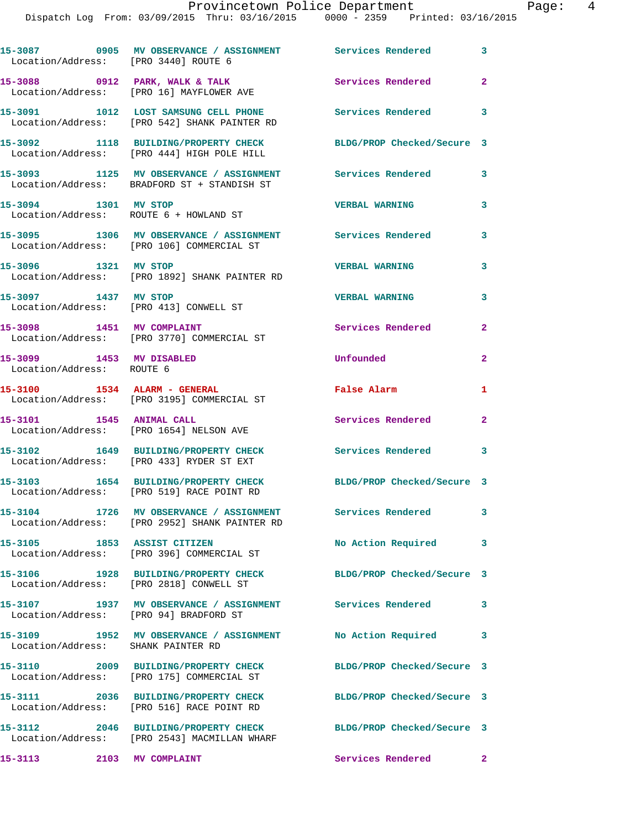**15-3087 0905 MV OBSERVANCE / ASSIGNMENT Services Rendered 3**  Location/Address: [PRO 3440] ROUTE 6 **15-3088 0912 PARK, WALK & TALK Services Rendered 2**  Location/Address: [PRO 16] MAYFLOWER AVE **15-3091 1012 LOST SAMSUNG CELL PHONE Services Rendered 3**  Location/Address: [PRO 542] SHANK PAINTER RD **15-3092 1118 BUILDING/PROPERTY CHECK BLDG/PROP Checked/Secure 3**  Location/Address: [PRO 444] HIGH POLE HILL **15-3093 1125 MV OBSERVANCE / ASSIGNMENT Services Rendered 3**  Location/Address: BRADFORD ST + STANDISH ST **15-3094 1301 MV STOP VERBAL WARNING 3**  Location/Address: ROUTE 6 + HOWLAND ST **15-3095 1306 MV OBSERVANCE / ASSIGNMENT Services Rendered 3**  Location/Address: [PRO 106] COMMERCIAL ST **15-3096 1321 MV STOP VERBAL WARNING 3**  Location/Address: [PRO 1892] SHANK PAINTER RD **15-3097 1437 MV STOP VERBAL WARNING 3**  Location/Address: [PRO 413] CONWELL ST 15-3098 1451 MV COMPLAINT **15-3098** Services Rendered 2 Location/Address: [PRO 3770] COMMERCIAL ST **15-3099 1453 MV DISABLED 15-3099 Unfounded** Location/Address: ROUTE 6 Location/Address: **15-3100 1534 ALARM - GENERAL False Alarm 1**  Location/Address: [PRO 3195] COMMERCIAL ST **15-3101 1545 ANIMAL CALL Services Rendered 2**  Location/Address: [PRO 1654] NELSON AVE **15-3102 1649 BUILDING/PROPERTY CHECK Services Rendered 3**  Location/Address: [PRO 433] RYDER ST EXT **15-3103 1654 BUILDING/PROPERTY CHECK BLDG/PROP Checked/Secure 3**  Location/Address: [PRO 519] RACE POINT RD **15-3104 1726 MV OBSERVANCE / ASSIGNMENT Services Rendered 3**  Location/Address: [PRO 2952] SHANK PAINTER RD **15-3105 1853 ASSIST CITIZEN No Action Required 3**  Location/Address: [PRO 396] COMMERCIAL ST **15-3106 1928 BUILDING/PROPERTY CHECK BLDG/PROP Checked/Secure 3**  Location/Address: [PRO 2818] CONWELL ST **15-3107 1937 MV OBSERVANCE / ASSIGNMENT Services Rendered 3**  Location/Address: [PRO 94] BRADFORD ST **15-3109 1952 MV OBSERVANCE / ASSIGNMENT No Action Required 3**  Location/Address: SHANK PAINTER RD **15-3110 2009 BUILDING/PROPERTY CHECK BLDG/PROP Checked/Secure 3**  Location/Address: [PRO 175] COMMERCIAL ST **15-3111 2036 BUILDING/PROPERTY CHECK BLDG/PROP Checked/Secure 3**  Location/Address: [PRO 516] RACE POINT RD **15-3112 2046 BUILDING/PROPERTY CHECK BLDG/PROP Checked/Secure 3**  Location/Address: [PRO 2543] MACMILLAN WHARF

**15-3113 2103 MV COMPLAINT Services Rendered 2**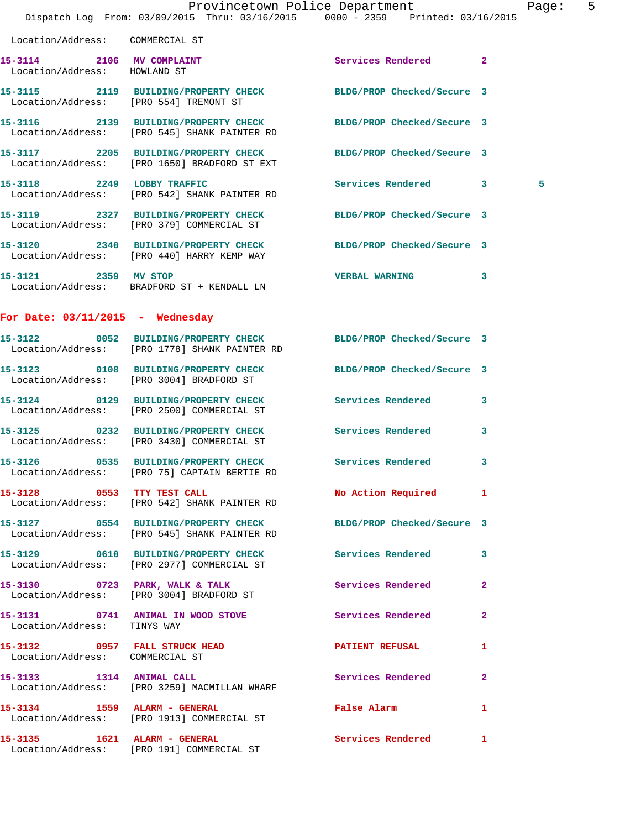|                                                           | Dispatch Log From: 03/09/2015 Thru: 03/16/2015 0000 - 2359 Printed: 03/16/2015                                   | Provincetown Police Department |   | Page: 5 |  |
|-----------------------------------------------------------|------------------------------------------------------------------------------------------------------------------|--------------------------------|---|---------|--|
| Location/Address: COMMERCIAL ST                           |                                                                                                                  |                                |   |         |  |
| 15-3114 2106 MV COMPLAINT<br>Location/Address: HOWLAND ST |                                                                                                                  | Services Rendered 2            |   |         |  |
| Location/Address: [PRO 554] TREMONT ST                    | 15-3115 2119 BUILDING/PROPERTY CHECK BLDG/PROP Checked/Secure 3                                                  |                                |   |         |  |
|                                                           | 15-3116 2139 BUILDING/PROPERTY CHECK<br>Location/Address: [PRO 545] SHANK PAINTER RD                             | BLDG/PROP Checked/Secure 3     |   |         |  |
|                                                           | 15-3117 2205 BUILDING/PROPERTY CHECK<br>Location/Address: [PRO 1650] BRADFORD ST EXT                             | BLDG/PROP Checked/Secure 3     |   |         |  |
| 15-3118 2249 LOBBY TRAFFIC                                | Location/Address: [PRO 542] SHANK PAINTER RD                                                                     | Services Rendered 3            |   | 5       |  |
|                                                           | 15-3119 2327 BUILDING/PROPERTY CHECK<br>Location/Address: [PRO 379] COMMERCIAL ST                                | BLDG/PROP Checked/Secure 3     |   |         |  |
|                                                           | 15-3120 2340 BUILDING/PROPERTY CHECK BLDG/PROP Checked/Secure 3<br>Location/Address: [PRO 440] HARRY KEMP WAY    |                                |   |         |  |
| 15-3121 2359 MV STOP                                      | Location/Address: BRADFORD ST + KENDALL LN                                                                       | VERBAL WARNING 3               |   |         |  |
| For Date: $03/11/2015$ - Wednesday                        |                                                                                                                  |                                |   |         |  |
|                                                           | 15-3122 0052 BUILDING/PROPERTY CHECK BLDG/PROP Checked/Secure 3<br>Location/Address: [PRO 1778] SHANK PAINTER RD |                                |   |         |  |
|                                                           | 15-3123 0108 BUILDING/PROPERTY CHECK<br>Location/Address: [PRO 3004] BRADFORD ST                                 | BLDG/PROP Checked/Secure 3     |   |         |  |
|                                                           | 15-3124 0129 BUILDING/PROPERTY CHECK<br>Location/Address: [PRO 2500] COMMERCIAL ST                               | <b>Services Rendered</b>       | 3 |         |  |
|                                                           | 15-3125 0232 BUILDING/PROPERTY CHECK<br>Location/Address: [PRO 3430] COMMERCIAL ST                               | Services Rendered              | 3 |         |  |
|                                                           | 15-3126 0535 BUILDING/PROPERTY CHECK<br>Location/Address: [PRO 75] CAPTAIN BERTIE RD                             | Services Rendered              | 3 |         |  |
|                                                           | 15-3128 0553 TTY TEST CALL<br>Location/Address: [PRO 542] SHANK PAINTER RD                                       | No Action Required 1           |   |         |  |
|                                                           | 15-3127 0554 BUILDING/PROPERTY CHECK BLDG/PROP Checked/Secure 3<br>Location/Address: [PRO 545] SHANK PAINTER RD  |                                |   |         |  |
|                                                           | 15-3129 0610 BUILDING/PROPERTY CHECK Services Rendered 3<br>Location/Address: [PRO 2977] COMMERCIAL ST           |                                |   |         |  |
|                                                           | 15-3130 0723 PARK, WALK & TALK 3 Services Rendered 2<br>Location/Address: [PRO 3004] BRADFORD ST                 |                                |   |         |  |
| Location/Address: TINYS WAY                               | 15-3131 0741 ANIMAL IN WOOD STOVE Services Rendered 2                                                            |                                |   |         |  |
| Location/Address: COMMERCIAL ST                           | 15-3132 0957 FALL STRUCK HEAD <b>PATIENT REFUSAL</b>                                                             |                                | 1 |         |  |
|                                                           | 15-3133 1314 ANIMAL CALL 2 Services Rendered 2<br>Location/Address: [PRO 3259] MACMILLAN WHARF                   |                                |   |         |  |
|                                                           | 15-3134 1559 ALARM - GENERAL<br>Location/Address: [PRO 1913] COMMERCIAL ST                                       | False Alarm                    | 1 |         |  |
| 15-3135    1621    ALARM - GENERAL                        | Location/Address: [PRO 191] COMMERCIAL ST                                                                        | Services Rendered 1            |   |         |  |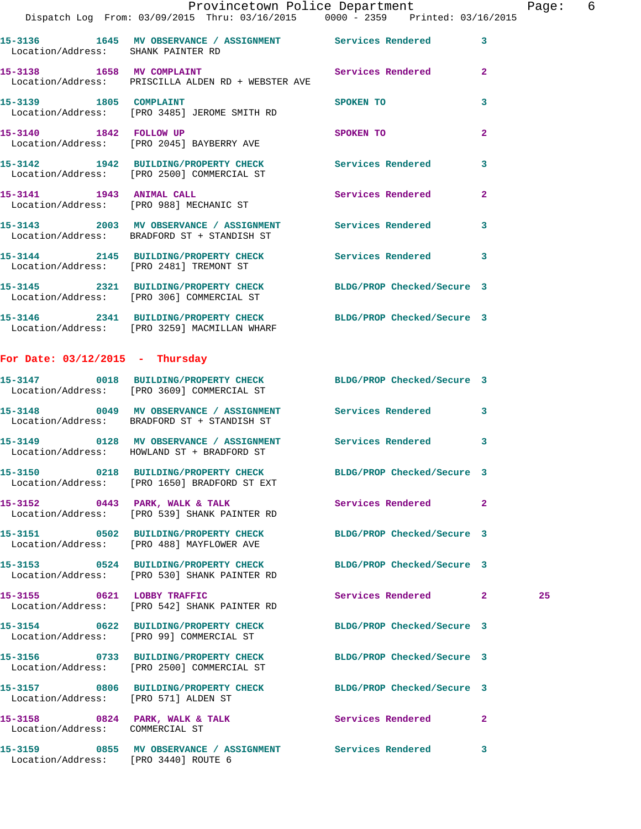|                                      | Provincetown Police Department The Page: 6<br>Dispatch Log From: 03/09/2015 Thru: 03/16/2015 0000 - 2359 Printed: 03/16/2015 |                            |              |    |  |
|--------------------------------------|------------------------------------------------------------------------------------------------------------------------------|----------------------------|--------------|----|--|
| Location/Address: SHANK PAINTER RD   | 15-3136 1645 MV OBSERVANCE / ASSIGNMENT Services Rendered                                                                    |                            | $\mathbf{3}$ |    |  |
|                                      | 15-3138 1658 MV COMPLAINT Services Rendered<br>Location/Address: PRISCILLA ALDEN RD + WEBSTER AVE                            |                            | $\mathbf{2}$ |    |  |
|                                      | 15-3139 1805 COMPLAINT<br>Location/Address: [PRO 3485] JEROME SMITH RD                                                       | SPOKEN TO                  | 3            |    |  |
| 15-3140 1842 FOLLOW UP               | Location/Address: [PRO 2045] BAYBERRY AVE                                                                                    | SPOKEN TO                  | $\mathbf{2}$ |    |  |
|                                      | 15-3142 1942 BUILDING/PROPERTY CHECK Services Rendered<br>Location/Address: [PRO 2500] COMMERCIAL ST                         |                            | 3            |    |  |
|                                      | 15-3141 1943 ANIMAL CALL<br>Location/Address: [PRO 988] MECHANIC ST                                                          | Services Rendered          | $\mathbf{2}$ |    |  |
|                                      | 15-3143 2003 MV OBSERVANCE / ASSIGNMENT Services Rendered 3<br>Location/Address: BRADFORD ST + STANDISH ST                   |                            |              |    |  |
|                                      | 15-3144 2145 BUILDING/PROPERTY CHECK Services Rendered<br>Location/Address: [PRO 2481] TREMONT ST                            |                            | 3            |    |  |
|                                      | 15-3145 2321 BUILDING/PROPERTY CHECK BLDG/PROP Checked/Secure 3<br>Location/Address: [PRO 306] COMMERCIAL ST                 |                            |              |    |  |
|                                      | 15-3146 2341 BUILDING/PROPERTY CHECK BLDG/PROP Checked/Secure 3<br>Location/Address: [PRO 3259] MACMILLAN WHARF              |                            |              |    |  |
| For Date: $03/12/2015$ - Thursday    |                                                                                                                              |                            |              |    |  |
|                                      | 15-3147 0018 BUILDING/PROPERTY CHECK BLDG/PROP Checked/Secure 3<br>Location/Address: [PRO 3609] COMMERCIAL ST                |                            |              |    |  |
|                                      | 15-3148 0049 MV OBSERVANCE / ASSIGNMENT Services Rendered 3<br>Location/Address: BRADFORD ST + STANDISH ST                   |                            |              |    |  |
|                                      | 15-3149 		 0128 MV OBSERVANCE / ASSIGNMENT Services Rendered<br>Location/Address: HOWLAND ST + BRADFORD ST                   |                            | 3            |    |  |
|                                      | 15-3150 0218 BUILDING/PROPERTY CHECK<br>Location/Address: [PRO 1650] BRADFORD ST EXT                                         | BLDG/PROP Checked/Secure 3 |              |    |  |
|                                      | 15-3152 0443 PARK, WALK & TALK<br>Location/Address: [PRO 539] SHANK PAINTER RD                                               | <b>Services Rendered</b>   | $\mathbf{2}$ |    |  |
|                                      | 15-3151 0502 BUILDING/PROPERTY CHECK<br>Location/Address: [PRO 488] MAYFLOWER AVE                                            | BLDG/PROP Checked/Secure 3 |              |    |  |
|                                      | 15-3153 0524 BUILDING/PROPERTY CHECK BLDG/PROP Checked/Secure 3<br>Location/Address: [PRO 530] SHANK PAINTER RD              |                            |              |    |  |
|                                      | 15-3155 0621 LOBBY TRAFFIC<br>Location/Address: [PRO 542] SHANK PAINTER RD                                                   | Services Rendered 2        |              | 25 |  |
|                                      | 15-3154 0622 BUILDING/PROPERTY CHECK BLDG/PROP Checked/Secure 3<br>Location/Address: [PRO 99] COMMERCIAL ST                  |                            |              |    |  |
|                                      | 15-3156 0733 BUILDING/PROPERTY CHECK BLDG/PROP Checked/Secure 3<br>Location/Address: [PRO 2500] COMMERCIAL ST                |                            |              |    |  |
| Location/Address: [PRO 571] ALDEN ST | 15-3157 0806 BUILDING/PROPERTY CHECK BLDG/PROP Checked/Secure 3                                                              |                            |              |    |  |
| Location/Address: COMMERCIAL ST      | 15-3158 0824 PARK, WALK & TALK Services Rendered                                                                             |                            | $\mathbf{2}$ |    |  |
| Location/Address: [PRO 3440] ROUTE 6 | 15-3159 6855 MV OBSERVANCE / ASSIGNMENT Services Rendered                                                                    |                            | 3            |    |  |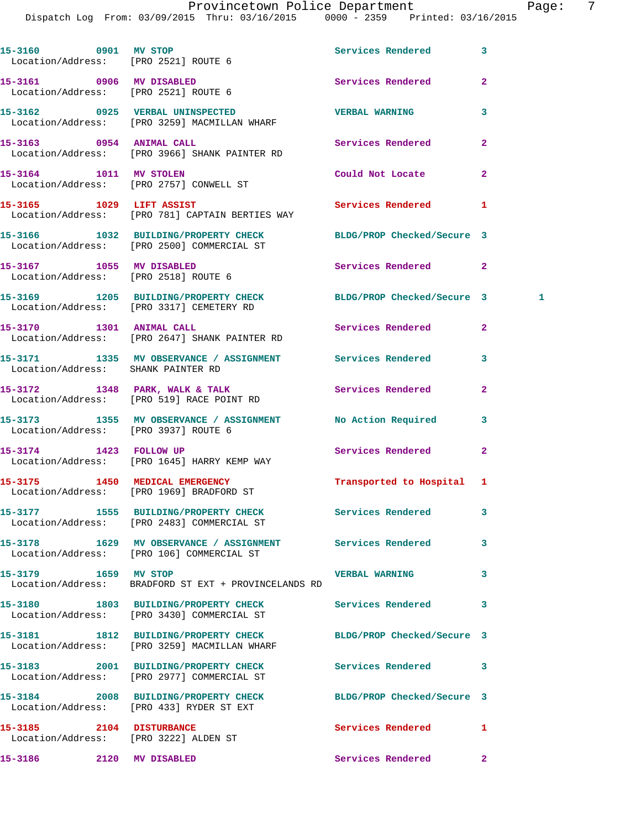|                                                         |                     |                           |  | Dispatch Log From: 03/09/2015 Thru: 03/16/2015 0000 - 2359 Printed: 03/16/2015 |   |  |
|---------------------------------------------------------|---------------------|---------------------------|--|--------------------------------------------------------------------------------|---|--|
| 15-3160<br>Location/Address: [PRO 2521] ROUTE 6         | 0901                | MV STOP                   |  | Services Rendered                                                              | 3 |  |
| 15-3161<br>Location/Address: [PRO 2521] ROUTE 6         | 0906                | MV DISABLED               |  | Services Rendered                                                              | 2 |  |
| 15-3162<br>Location/Address: [PRO 3259] MACMILLAN WHARF | 0925                | <b>VERBAL UNINSPECTED</b> |  | <b>VERBAL WARNING</b>                                                          | 3 |  |
| 15.2162                                                 | $\bigcap \bigcap E$ | ANTEMAT CATT              |  | $G$ omini godine Donalomoa                                                     |   |  |

15-3163 **0954 ANIMAL CALL 15-3163 Services Rendered**  Location/Address: [PRO 3966] SHANK PAINTER RD **15-3164 1011 MV STOLEN Could Not Locate 2** 

15-3165 1029 LIFT ASSIST **Services Rendered** 1 Location/Address: [PRO 781] CAPTAIN BERTIES WAY

**15-3166 1032 BUILDING/PROPERTY CHECK BLDG/PROP Checked/Secure 3**  Location/Address: [PRO 2500] COMMERCIAL ST

**15-3167 1055 MV DISABLED Services Rendered 2**  Location/Address: [PRO 2518] ROUTE 6

Location/Address: [PRO 2757] CONWELL ST

**15-3169 1205 BUILDING/PROPERTY CHECK BLDG/PROP Checked/Secure 3 1**  Location/Address: [PRO 3317] CEMETERY RD

**15-3170 1301 ANIMAL CALL Services Rendered 2**  Location/Address: [PRO 2647] SHANK PAINTER RD

**15-3171 1335 MV OBSERVANCE / ASSIGNMENT Services Rendered 3**  Location/Address: SHANK PAINTER RD

**15-3172 1348 PARK, WALK & TALK Services Rendered 2**  Location/Address: [PRO 519] RACE POINT RD

**15-3173 1355 MV OBSERVANCE / ASSIGNMENT No Action Required 3**  Location/Address: [PRO 3937] ROUTE 6

**15-3174 1423 FOLLOW UP Services Rendered 2**  Location/Address: [PRO 1645] HARRY KEMP WAY

**15-3175 1450 MEDICAL EMERGENCY Transported to Hospital 1**  Location/Address: [PRO 1969] BRADFORD ST

**15-3177 1555 BUILDING/PROPERTY CHECK Services Rendered 3**  Location/Address: [PRO 2483] COMMERCIAL ST

**15-3178 1629 MV OBSERVANCE / ASSIGNMENT Services Rendered 3**  Location/Address: [PRO 106] COMMERCIAL ST

**15-3179 1659 MV STOP VERBAL WARNING 3**  Location/Address: BRADFORD ST EXT + PROVINCELANDS RD

**15-3180 1803 BUILDING/PROPERTY CHECK Services Rendered 3**  Location/Address: [PRO 3430] COMMERCIAL ST

**15-3181 1812 BUILDING/PROPERTY CHECK BLDG/PROP Checked/Secure 3**  Location/Address: [PRO 3259] MACMILLAN WHARF

**15-3183 2001 BUILDING/PROPERTY CHECK Services Rendered 3**  Location/Address: [PRO 2977] COMMERCIAL ST

**15-3184 2008 BUILDING/PROPERTY CHECK BLDG/PROP Checked/Secure 3**  Location/Address: [PRO 433] RYDER ST EXT

**15-3185 2104 DISTURBANCE Services Rendered 1**  Location/Address: [PRO 3222] ALDEN ST

**15-3186 2120 MV DISABLED Services Rendered 2**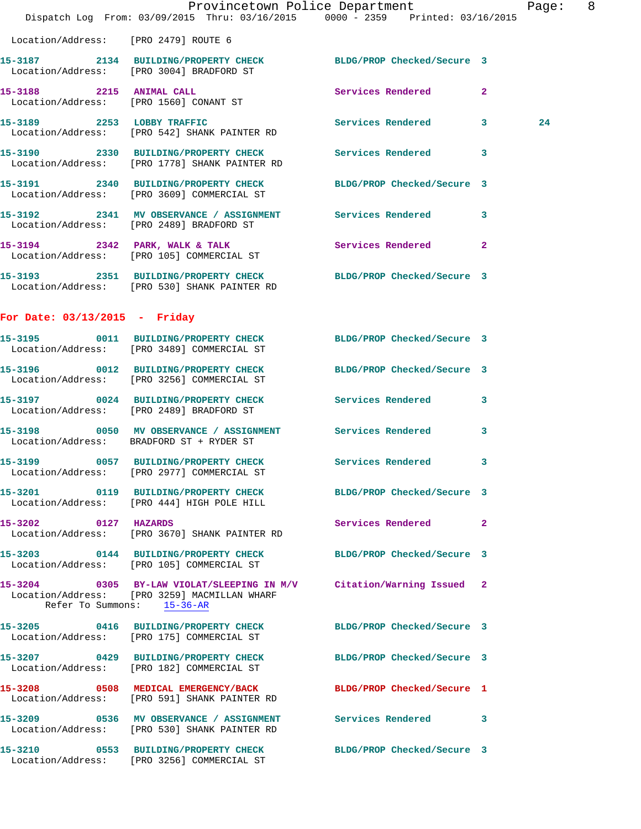|                                      | Dispatch Log From: 03/09/2015 Thru: 03/16/2015 0000 - 2359 Printed: 03/16/2015                                                                     | Provincetown Police Department |   | Page: 8 |  |
|--------------------------------------|----------------------------------------------------------------------------------------------------------------------------------------------------|--------------------------------|---|---------|--|
| Location/Address: [PRO 2479] ROUTE 6 |                                                                                                                                                    |                                |   |         |  |
|                                      | 15-3187 2134 BUILDING/PROPERTY CHECK<br>Location/Address: [PRO 3004] BRADFORD ST                                                                   | BLDG/PROP Checked/Secure 3     |   |         |  |
|                                      | 15-3188 2215 ANIMAL CALL<br>Location/Address: [PRO 1560] CONANT ST                                                                                 | Services Rendered 2            |   |         |  |
|                                      | 15-3189 2253 LOBBY TRAFFIC<br>Location/Address: [PRO 542] SHANK PAINTER RD                                                                         | Services Rendered 3            |   | 24      |  |
|                                      | 15-3190 2330 BUILDING/PROPERTY CHECK Services Rendered<br>Location/Address: [PRO 1778] SHANK PAINTER RD                                            |                                | 3 |         |  |
|                                      | 15-3191  2340 BUILDING/PROPERTY CHECK BLDG/PROP Checked/Secure 3<br>Location/Address: [PRO 3609] COMMERCIAL ST                                     |                                |   |         |  |
|                                      | 15-3192 2341 MV OBSERVANCE / ASSIGNMENT Services Rendered 3<br>Location/Address: [PRO 2489] BRADFORD ST                                            |                                |   |         |  |
|                                      | 15-3194 2342 PARK, WALK & TALK<br>Location/Address: [PRO 105] COMMERCIAL ST                                                                        | Services Rendered 2            |   |         |  |
|                                      | 15-3193 2351 BUILDING/PROPERTY CHECK BLDG/PROP Checked/Secure 3<br>Location/Address: [PRO 530] SHANK PAINTER RD                                    |                                |   |         |  |
| For Date: $03/13/2015$ - Friday      |                                                                                                                                                    |                                |   |         |  |
|                                      | 15-3195 0011 BUILDING/PROPERTY CHECK BLDG/PROP Checked/Secure 3<br>Location/Address: [PRO 3489] COMMERCIAL ST                                      |                                |   |         |  |
|                                      | 15-3196 0012 BUILDING/PROPERTY CHECK<br>Location/Address: [PRO 3256] COMMERCIAL ST                                                                 | BLDG/PROP Checked/Secure 3     |   |         |  |
|                                      | 15-3197 0024 BUILDING/PROPERTY CHECK<br>Location/Address: [PRO 2489] BRADFORD ST                                                                   | Services Rendered              | 3 |         |  |
|                                      | 15-3198 0050 MV OBSERVANCE / ASSIGNMENT Services Rendered<br>Location/Address: BRADFORD ST + RYDER ST                                              |                                | 3 |         |  |
|                                      | 15-3199 0057 BUILDING/PROPERTY CHECK Services Rendered 3<br>Location/Address: [PRO 2977] COMMERCIAL ST                                             |                                |   |         |  |
|                                      | 15-3201 0119 BUILDING/PROPERTY CHECK BLDG/PROP Checked/Secure 3<br>Location/Address: [PRO 444] HIGH POLE HILL                                      |                                |   |         |  |
| 15-3202 0127 HAZARDS                 | Location/Address: [PRO 3670] SHANK PAINTER RD                                                                                                      | Services Rendered              | 2 |         |  |
|                                      | 15-3203 0144 BUILDING/PROPERTY CHECK BLDG/PROP Checked/Secure 3<br>Location/Address: [PRO 105] COMMERCIAL ST                                       |                                |   |         |  |
|                                      | 15-3204 0305 BY-LAW VIOLAT/SLEEPING IN M/V Citation/Warning Issued 2<br>Location/Address: [PRO 3259] MACMILLAN WHARF<br>Refer To Summons: 15-36-AR |                                |   |         |  |
|                                      | 15-3205 0416 BUILDING/PROPERTY CHECK BLDG/PROP Checked/Secure 3<br>Location/Address: [PRO 175] COMMERCIAL ST                                       |                                |   |         |  |
|                                      | 15-3207 0429 BUILDING/PROPERTY CHECK BLDG/PROP Checked/Secure 3<br>Location/Address: [PRO 182] COMMERCIAL ST                                       |                                |   |         |  |
|                                      | 15-3208 0508 MEDICAL EMERGENCY/BACK BLDG/PROP Checked/Secure 1<br>Location/Address: [PRO 591] SHANK PAINTER RD                                     |                                |   |         |  |
|                                      | 15-3209 0536 MV OBSERVANCE / ASSIGNMENT Services Rendered 3<br>Location/Address: [PRO 530] SHANK PAINTER RD                                        |                                |   |         |  |
|                                      | 15-3210 0553 BUILDING/PROPERTY CHECK BLDG/PROP Checked/Secure 3<br>Location/Address: [PRO 3256] COMMERCIAL ST                                      |                                |   |         |  |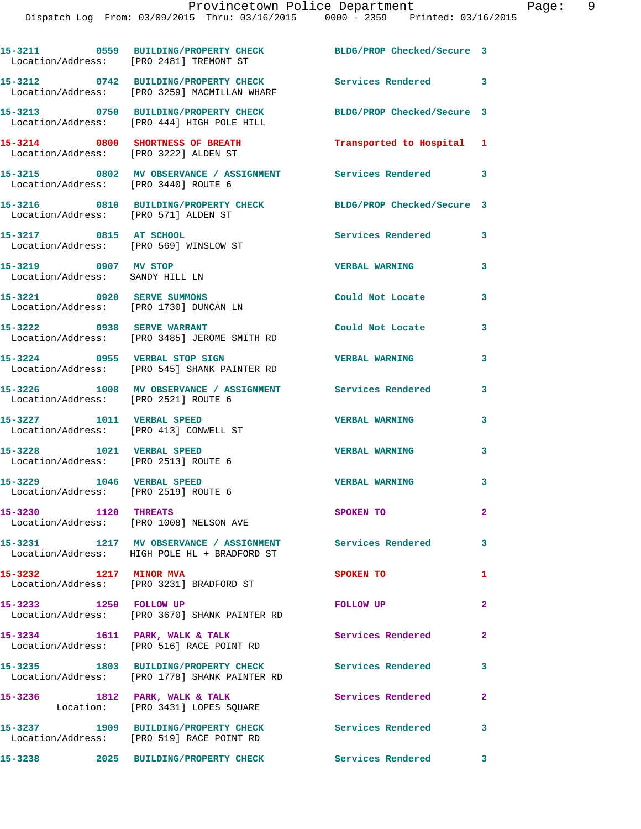|                                                                      | 15-3211 0559 BUILDING/PROPERTY CHECK<br>Location/Address: [PRO 2481] TREMONT ST                           | BLDG/PROP Checked/Secure 3 |                            |
|----------------------------------------------------------------------|-----------------------------------------------------------------------------------------------------------|----------------------------|----------------------------|
|                                                                      | 15-3212 0742 BUILDING/PROPERTY CHECK Services Rendered 3<br>Location/Address: [PRO 3259] MACMILLAN WHARF  |                            |                            |
|                                                                      | 15-3213 0750 BUILDING/PROPERTY CHECK<br>Location/Address: [PRO 444] HIGH POLE HILL                        | BLDG/PROP Checked/Secure 3 |                            |
| Location/Address: [PRO 3222] ALDEN ST                                | 15-3214 0800 SHORTNESS OF BREATH                                                                          | Transported to Hospital 1  |                            |
| Location/Address: [PRO 3440] ROUTE 6                                 | 15-3215 0802 MV OBSERVANCE / ASSIGNMENT Services Rendered 3                                               |                            |                            |
| Location/Address: [PRO 571] ALDEN ST                                 | 15-3216 0810 BUILDING/PROPERTY CHECK                                                                      | BLDG/PROP Checked/Secure 3 |                            |
| 15-3217 0815 AT SCHOOL<br>Location/Address: [PRO 569] WINSLOW ST     |                                                                                                           | Services Rendered          | $\overline{\phantom{a}}$ 3 |
| 15-3219 0907 MV STOP<br>Location/Address: SANDY HILL LN              |                                                                                                           | <b>VERBAL WARNING</b>      | 3                          |
| 15-3221 0920 SERVE SUMMONS<br>Location/Address: [PRO 1730] DUNCAN LN |                                                                                                           | Could Not Locate           | 3                          |
| 15-3222 0938 SERVE WARRANT                                           | Location/Address: [PRO 3485] JEROME SMITH RD                                                              | Could Not Locate           | 3                          |
| 15-3224 0955 VERBAL STOP SIGN                                        | Location/Address: [PRO 545] SHANK PAINTER RD                                                              | <b>VERBAL WARNING</b>      | 3                          |
| Location/Address: [PRO 2521] ROUTE 6                                 | 15-3226 1008 MV OBSERVANCE / ASSIGNMENT Services Rendered                                                 |                            | 3                          |
| 15-3227 1011 VERBAL SPEED<br>Location/Address: [PRO 413] CONWELL ST  |                                                                                                           | <b>VERBAL WARNING</b>      | 3                          |
| 15-3228 1021 VERBAL SPEED<br>Location/Address: [PRO 2513] ROUTE 6    |                                                                                                           | <b>VERBAL WARNING</b>      | 3                          |
| 15-3229 1046 VERBAL SPEED<br>Location/Address: [PRO 2519] ROUTE 6    |                                                                                                           | <b>VERBAL WARNING</b>      | 3                          |
| 15-3230 1120 THREATS                                                 | Location/Address: [PRO 1008] NELSON AVE                                                                   | SPOKEN TO                  | $\mathbf{2}^-$             |
|                                                                      | 15-3231 1217 MV OBSERVANCE / ASSIGNMENT Services Rendered<br>Location/Address: HIGH POLE HL + BRADFORD ST |                            | $\overline{\mathbf{3}}$    |
| 15-3232 1217 MINOR MVA                                               | Location/Address: [PRO 3231] BRADFORD ST                                                                  | SPOKEN TO                  | 1                          |
| 15-3233 1250 FOLLOW UP                                               | Location/Address: [PRO 3670] SHANK PAINTER RD                                                             | FOLLOW UP                  | $\mathbf{2}$               |
|                                                                      | 15-3234 1611 PARK, WALK & TALK<br>Location/Address: [PRO 516] RACE POINT RD                               | <b>Services Rendered</b>   | $\overline{2}$             |
|                                                                      | 15-3235 1803 BUILDING/PROPERTY CHECK Services Rendered 3<br>Location/Address: [PRO 1778] SHANK PAINTER RD |                            |                            |
|                                                                      | 15-3236 1812 PARK, WALK & TALK<br>Location: [PRO 3431] LOPES SQUARE                                       | <b>Services Rendered</b>   | $\mathbf{2}$               |
|                                                                      | 15-3237 1909 BUILDING/PROPERTY CHECK<br>Location/Address: [PRO 519] RACE POINT RD                         | Services Rendered 3        |                            |
| 15-3238                                                              | 2025 BUILDING/PROPERTY CHECK                                                                              | <b>Services Rendered</b>   | 3                          |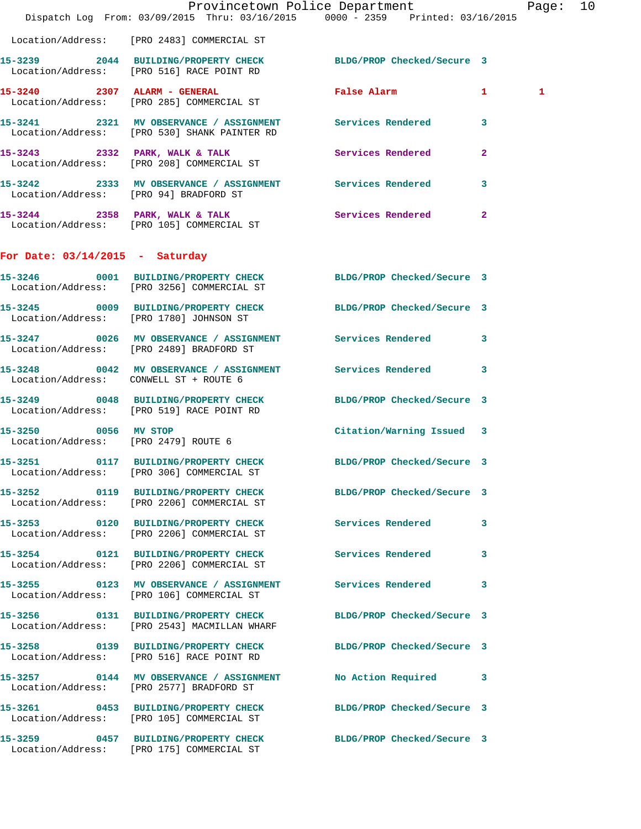| Location/Address: [PRO 2483] COMMERCIAL ST<br>15-3239 2044 BUILDING/PROPERTY CHECK BLDG/PROP Checked/Secure 3<br>Location/Address: [PRO 516] RACE POINT RD<br>15-3240 2307 ALARM - GENERAL<br>Location/Address: [PRO 285] COMMERCIAL ST<br>Location/Address: [PRO 530] SHANK PAINTER RD<br>15-3243 2332 PARK, WALK & TALK<br>Location/Address: [PRO 208] COMMERCIAL ST | False Alarm and the state of the state of the state of the state of the state of the state of the state of the | $\mathbf{1}$                                                                                                                           | 1                                                                                                                                                                                                                                                                                                                                                                                                                                                                                                                                                                                                                                                                                                                                          |                                                             |
|------------------------------------------------------------------------------------------------------------------------------------------------------------------------------------------------------------------------------------------------------------------------------------------------------------------------------------------------------------------------|----------------------------------------------------------------------------------------------------------------|----------------------------------------------------------------------------------------------------------------------------------------|--------------------------------------------------------------------------------------------------------------------------------------------------------------------------------------------------------------------------------------------------------------------------------------------------------------------------------------------------------------------------------------------------------------------------------------------------------------------------------------------------------------------------------------------------------------------------------------------------------------------------------------------------------------------------------------------------------------------------------------------|-------------------------------------------------------------|
|                                                                                                                                                                                                                                                                                                                                                                        |                                                                                                                |                                                                                                                                        |                                                                                                                                                                                                                                                                                                                                                                                                                                                                                                                                                                                                                                                                                                                                            |                                                             |
|                                                                                                                                                                                                                                                                                                                                                                        |                                                                                                                |                                                                                                                                        |                                                                                                                                                                                                                                                                                                                                                                                                                                                                                                                                                                                                                                                                                                                                            |                                                             |
|                                                                                                                                                                                                                                                                                                                                                                        |                                                                                                                |                                                                                                                                        |                                                                                                                                                                                                                                                                                                                                                                                                                                                                                                                                                                                                                                                                                                                                            |                                                             |
|                                                                                                                                                                                                                                                                                                                                                                        |                                                                                                                |                                                                                                                                        |                                                                                                                                                                                                                                                                                                                                                                                                                                                                                                                                                                                                                                                                                                                                            |                                                             |
|                                                                                                                                                                                                                                                                                                                                                                        |                                                                                                                | $\overline{2}$                                                                                                                         |                                                                                                                                                                                                                                                                                                                                                                                                                                                                                                                                                                                                                                                                                                                                            |                                                             |
| Location/Address: [PRO 94] BRADFORD ST                                                                                                                                                                                                                                                                                                                                 |                                                                                                                |                                                                                                                                        |                                                                                                                                                                                                                                                                                                                                                                                                                                                                                                                                                                                                                                                                                                                                            |                                                             |
| 15-3244 2358 PARK, WALK & TALK<br>Location/Address: [PRO 105] COMMERCIAL ST                                                                                                                                                                                                                                                                                            |                                                                                                                | $\overline{2}$                                                                                                                         |                                                                                                                                                                                                                                                                                                                                                                                                                                                                                                                                                                                                                                                                                                                                            |                                                             |
| For Date: $03/14/2015$ - Saturday                                                                                                                                                                                                                                                                                                                                      |                                                                                                                |                                                                                                                                        |                                                                                                                                                                                                                                                                                                                                                                                                                                                                                                                                                                                                                                                                                                                                            |                                                             |
| Location/Address: [PRO 3256] COMMERCIAL ST                                                                                                                                                                                                                                                                                                                             |                                                                                                                |                                                                                                                                        |                                                                                                                                                                                                                                                                                                                                                                                                                                                                                                                                                                                                                                                                                                                                            |                                                             |
| Location/Address: [PRO 1780] JOHNSON ST                                                                                                                                                                                                                                                                                                                                |                                                                                                                |                                                                                                                                        |                                                                                                                                                                                                                                                                                                                                                                                                                                                                                                                                                                                                                                                                                                                                            |                                                             |
| Location/Address: [PRO 2489] BRADFORD ST                                                                                                                                                                                                                                                                                                                               |                                                                                                                |                                                                                                                                        |                                                                                                                                                                                                                                                                                                                                                                                                                                                                                                                                                                                                                                                                                                                                            |                                                             |
| Location/Address: CONWELL ST + ROUTE 6                                                                                                                                                                                                                                                                                                                                 |                                                                                                                |                                                                                                                                        |                                                                                                                                                                                                                                                                                                                                                                                                                                                                                                                                                                                                                                                                                                                                            |                                                             |
| Location/Address: [PRO 519] RACE POINT RD                                                                                                                                                                                                                                                                                                                              |                                                                                                                |                                                                                                                                        |                                                                                                                                                                                                                                                                                                                                                                                                                                                                                                                                                                                                                                                                                                                                            |                                                             |
| 15-3250 0056 MV STOP<br>Location/Address: [PRO 2479] ROUTE 6                                                                                                                                                                                                                                                                                                           |                                                                                                                |                                                                                                                                        |                                                                                                                                                                                                                                                                                                                                                                                                                                                                                                                                                                                                                                                                                                                                            |                                                             |
| Location/Address: [PRO 306] COMMERCIAL ST                                                                                                                                                                                                                                                                                                                              |                                                                                                                |                                                                                                                                        |                                                                                                                                                                                                                                                                                                                                                                                                                                                                                                                                                                                                                                                                                                                                            |                                                             |
| 15-3252 0119 BUILDING/PROPERTY CHECK<br>Location/Address: [PRO 2206] COMMERCIAL ST                                                                                                                                                                                                                                                                                     |                                                                                                                |                                                                                                                                        |                                                                                                                                                                                                                                                                                                                                                                                                                                                                                                                                                                                                                                                                                                                                            |                                                             |
| 15-3253 0120 BUILDING/PROPERTY CHECK<br>Location/Address: [PRO 2206] COMMERCIAL ST                                                                                                                                                                                                                                                                                     |                                                                                                                | 3                                                                                                                                      |                                                                                                                                                                                                                                                                                                                                                                                                                                                                                                                                                                                                                                                                                                                                            |                                                             |
| 15-3254 0121 BUILDING/PROPERTY CHECK<br>Location/Address: [PRO 2206] COMMERCIAL ST                                                                                                                                                                                                                                                                                     |                                                                                                                | 3                                                                                                                                      |                                                                                                                                                                                                                                                                                                                                                                                                                                                                                                                                                                                                                                                                                                                                            |                                                             |
| Location/Address: [PRO 106] COMMERCIAL ST                                                                                                                                                                                                                                                                                                                              |                                                                                                                | 3                                                                                                                                      |                                                                                                                                                                                                                                                                                                                                                                                                                                                                                                                                                                                                                                                                                                                                            |                                                             |
| 15-3256 0131 BUILDING/PROPERTY CHECK<br>Location/Address: [PRO 2543] MACMILLAN WHARF                                                                                                                                                                                                                                                                                   |                                                                                                                |                                                                                                                                        |                                                                                                                                                                                                                                                                                                                                                                                                                                                                                                                                                                                                                                                                                                                                            |                                                             |
| 15-3258 0139 BUILDING/PROPERTY CHECK<br>Location/Address: [PRO 516] RACE POINT RD                                                                                                                                                                                                                                                                                      |                                                                                                                |                                                                                                                                        |                                                                                                                                                                                                                                                                                                                                                                                                                                                                                                                                                                                                                                                                                                                                            |                                                             |
| 15-3257 0144 MV OBSERVANCE / ASSIGNMENT<br>Location/Address: [PRO 2577] BRADFORD ST                                                                                                                                                                                                                                                                                    |                                                                                                                |                                                                                                                                        |                                                                                                                                                                                                                                                                                                                                                                                                                                                                                                                                                                                                                                                                                                                                            |                                                             |
| 15-3261 0453 BUILDING/PROPERTY CHECK<br>Location/Address: [PRO 105] COMMERCIAL ST                                                                                                                                                                                                                                                                                      |                                                                                                                |                                                                                                                                        |                                                                                                                                                                                                                                                                                                                                                                                                                                                                                                                                                                                                                                                                                                                                            |                                                             |
| Location/Address: [PRO 175] COMMERCIAL ST                                                                                                                                                                                                                                                                                                                              |                                                                                                                |                                                                                                                                        |                                                                                                                                                                                                                                                                                                                                                                                                                                                                                                                                                                                                                                                                                                                                            |                                                             |
|                                                                                                                                                                                                                                                                                                                                                                        |                                                                                                                | <b>Services Rendered</b><br>Services Rendered<br><b>Services Rendered</b><br>15-3255 0123 MV OBSERVANCE / ASSIGNMENT Services Rendered | 15-3242 2333 MV OBSERVANCE / ASSIGNMENT Services Rendered 3<br>Services Rendered<br>15-3246 0001 BUILDING/PROPERTY CHECK BLDG/PROP Checked/Secure 3<br>15-3245 0009 BUILDING/PROPERTY CHECK BLDG/PROP Checked/Secure 3<br>15-3247 0026 MV OBSERVANCE / ASSIGNMENT Services Rendered 3<br>15-3248 0042 MV OBSERVANCE / ASSIGNMENT Services Rendered 3<br>15-3249 0048 BUILDING/PROPERTY CHECK BLDG/PROP Checked/Secure 3<br>Citation/Warning Issued 3<br>15-3251 0117 BUILDING/PROPERTY CHECK BLDG/PROP Checked/Secure 3<br>BLDG/PROP Checked/Secure 3<br>BLDG/PROP Checked/Secure 3<br>BLDG/PROP Checked/Secure 3<br>No Action Required 3<br>BLDG/PROP Checked/Secure 3<br>15-3259 0457 BUILDING/PROPERTY CHECK BLDG/PROP Checked/Secure 3 | 15-3241 2321 MV OBSERVANCE / ASSIGNMENT Services Rendered 3 |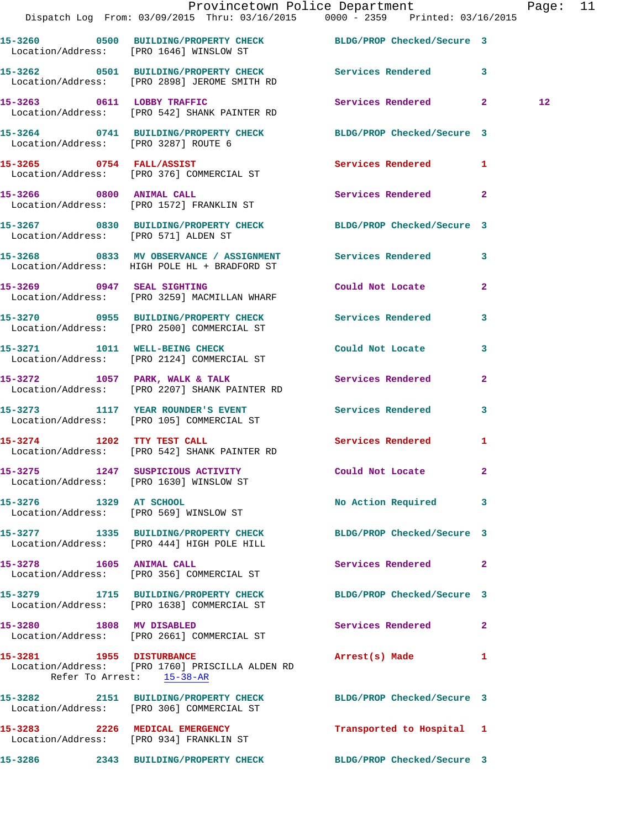|                                      | Provincetown Police Department<br>Dispatch Log From: 03/09/2015 Thru: 03/16/2015 0000 - 2359 Printed: 03/16/2015 |                           |              | Page: 11        |  |
|--------------------------------------|------------------------------------------------------------------------------------------------------------------|---------------------------|--------------|-----------------|--|
|                                      | 15-3260 0500 BUILDING/PROPERTY CHECK BLDG/PROP Checked/Secure 3<br>Location/Address: [PRO 1646] WINSLOW ST       |                           |              |                 |  |
|                                      | 15-3262 0501 BUILDING/PROPERTY CHECK Services Rendered 3<br>Location/Address: [PRO 2898] JEROME SMITH RD         |                           |              |                 |  |
|                                      | 15-3263 0611 LOBBY TRAFFIC<br>Location/Address: [PRO 542] SHANK PAINTER RD                                       | Services Rendered 2       |              | 12 <sup>2</sup> |  |
| Location/Address: [PRO 3287] ROUTE 6 | 15-3264 0741 BUILDING/PROPERTY CHECK BLDG/PROP Checked/Secure 3                                                  |                           |              |                 |  |
|                                      | 15-3265 0754 FALL/ASSIST<br>Location/Address: [PRO 376] COMMERCIAL ST                                            | Services Rendered 1       |              |                 |  |
|                                      | 15-3266 0800 ANIMAL CALL<br>Location/Address: [PRO 1572] FRANKLIN ST                                             | Services Rendered 2       |              |                 |  |
|                                      | 15-3267 0830 BUILDING/PROPERTY CHECK BLDG/PROP Checked/Secure 3<br>Location/Address: [PRO 571] ALDEN ST          |                           |              |                 |  |
|                                      | 15-3268 0833 MV OBSERVANCE / ASSIGNMENT Services Rendered 3<br>Location/Address: HIGH POLE HL + BRADFORD ST      |                           |              |                 |  |
|                                      | 15-3269 0947 SEAL SIGHTING<br>Location/Address: [PRO 3259] MACMILLAN WHARF                                       | Could Not Locate 2        |              |                 |  |
|                                      | 15-3270 0955 BUILDING/PROPERTY CHECK Services Rendered 3<br>Location/Address: [PRO 2500] COMMERCIAL ST           |                           |              |                 |  |
|                                      | 15-3271 1011 WELL-BEING CHECK COULD Not Locate 3<br>Location/Address: [PRO 2124] COMMERCIAL ST                   |                           |              |                 |  |
|                                      | 15-3272 1057 PARK, WALK & TALK<br>Location/Address: [PRO 2207] SHANK PAINTER RD                                  | Services Rendered         | $\mathbf{2}$ |                 |  |
|                                      | 15-3273 1117 YEAR ROUNDER'S EVENT Services Rendered 3<br>Location/Address: [PRO 105] COMMERCIAL ST               |                           |              |                 |  |
|                                      | 15-3274 1202 TTY TEST CALL<br>Location/Address: [PRO 542] SHANK PAINTER RD                                       | Services Rendered 1       |              |                 |  |
|                                      | 15-3275 1247 SUSPICIOUS ACTIVITY<br>Location/Address: [PRO 1630] WINSLOW ST                                      | <b>Could Not Locate</b>   |              |                 |  |
|                                      | 15-3276 1329 AT SCHOOL<br>Location/Address: [PRO 569] WINSLOW ST                                                 | No Action Required 3      |              |                 |  |
|                                      | 15-3277 1335 BUILDING/PROPERTY CHECK BLDG/PROP Checked/Secure 3<br>Location/Address: [PRO 444] HIGH POLE HILL    |                           |              |                 |  |
|                                      | 15-3278 1605 ANIMAL CALL<br>Location/Address: [PRO 356] COMMERCIAL ST                                            | Services Rendered 2       |              |                 |  |
|                                      | 15-3279 1715 BUILDING/PROPERTY CHECK BLDG/PROP Checked/Secure 3<br>Location/Address: [PRO 1638] COMMERCIAL ST    |                           |              |                 |  |
|                                      | 15-3280 1808 MV DISABLED<br>Location/Address: [PRO 2661] COMMERCIAL ST                                           | Services Rendered         | $\mathbf{2}$ |                 |  |
| 15-3281 1955 DISTURBANCE             | Location/Address: [PRO 1760] PRISCILLA ALDEN RD<br>Refer To Arrest: 15-38-AR                                     | Arrest(s) Made            | 1            |                 |  |
|                                      | 15-3282 2151 BUILDING/PROPERTY CHECK BLDG/PROP Checked/Secure 3<br>Location/Address: [PRO 306] COMMERCIAL ST     |                           |              |                 |  |
|                                      | 15-3283 2226 MEDICAL EMERGENCY<br>Location/Address: [PRO 934] FRANKLIN ST                                        | Transported to Hospital 1 |              |                 |  |
| 15-3286                              | 2343 BUILDING/PROPERTY CHECK BLDG/PROP Checked/Secure 3                                                          |                           |              |                 |  |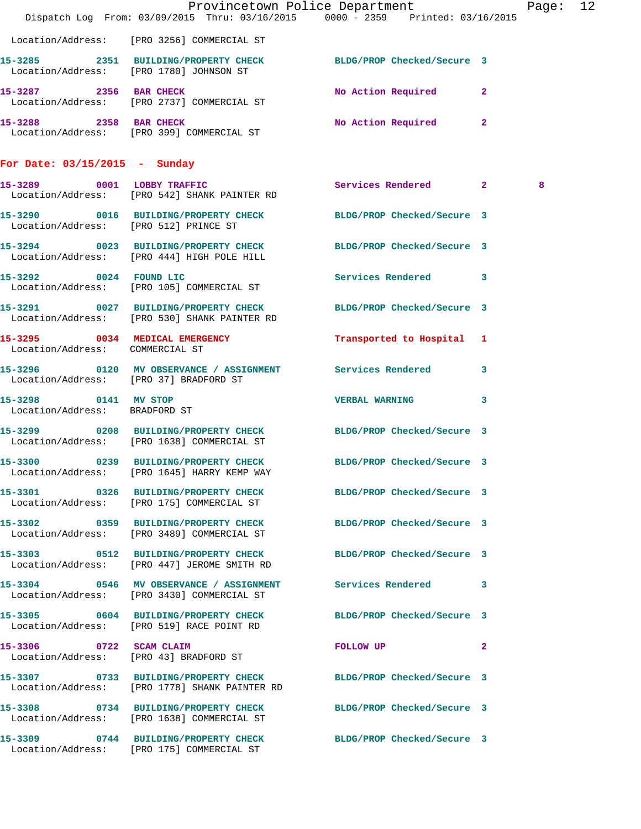|                                                       | Dispatch Log From: 03/09/2015 Thru: 03/16/2015 0000 - 2359 Printed: 03/16/2015                                   | Provincetown Police Department |              | Page: 12 |  |
|-------------------------------------------------------|------------------------------------------------------------------------------------------------------------------|--------------------------------|--------------|----------|--|
|                                                       | Location/Address: [PRO 3256] COMMERCIAL ST                                                                       |                                |              |          |  |
|                                                       | 15-3285 2351 BUILDING/PROPERTY CHECK BLDG/PROP Checked/Secure 3<br>Location/Address: [PRO 1780] JOHNSON ST       |                                |              |          |  |
|                                                       | 15-3287 2356 BAR CHECK<br>Location/Address: [PRO 2737] COMMERCIAL ST                                             | No Action Required 2           |              |          |  |
| 15-3288 2358 BAR CHECK                                | Location/Address: [PRO 399] COMMERCIAL ST                                                                        | No Action Required 2           |              |          |  |
| For Date: $03/15/2015$ - Sunday                       |                                                                                                                  |                                |              |          |  |
|                                                       | 15-3289 0001 LOBBY TRAFFIC<br>Location/Address: [PRO 542] SHANK PAINTER RD                                       | Services Rendered 2            |              | 8        |  |
| Location/Address: [PRO 512] PRINCE ST                 | 15-3290 0016 BUILDING/PROPERTY CHECK BLDG/PROP Checked/Secure 3                                                  |                                |              |          |  |
|                                                       | 15-3294 0023 BUILDING/PROPERTY CHECK BLDG/PROP Checked/Secure 3<br>Location/Address: [PRO 444] HIGH POLE HILL    |                                |              |          |  |
|                                                       | 15-3292 0024 FOUND LIC<br>Location/Address: [PRO 105] COMMERCIAL ST                                              | Services Rendered 3            |              |          |  |
|                                                       | 15-3291 0027 BUILDING/PROPERTY CHECK<br>Location/Address: [PRO 530] SHANK PAINTER RD                             | BLDG/PROP Checked/Secure 3     |              |          |  |
| Location/Address: COMMERCIAL ST                       | 15-3295 0034 MEDICAL EMERGENCY                                                                                   | Transported to Hospital 1      |              |          |  |
| Location/Address: [PRO 37] BRADFORD ST                | 15-3296 0120 MV OBSERVANCE / ASSIGNMENT Services Rendered 3                                                      |                                |              |          |  |
| 15-3298 0141 MV STOP<br>Location/Address: BRADFORD ST |                                                                                                                  | VERBAL WARNING 3               |              |          |  |
|                                                       | 15-3299 0208 BUILDING/PROPERTY CHECK BLDG/PROP Checked/Secure 3<br>Location/Address: [PRO 1638] COMMERCIAL ST    |                                |              |          |  |
| 15-3300                                               | 0239 BUILDING/PROPERTY CHECK BLDG/PROP Checked/Secure 3<br>Location/Address: [PRO 1645] HARRY KEMP WAY           |                                |              |          |  |
|                                                       | 15-3301 0326 BUILDING/PROPERTY CHECK BLDG/PROP Checked/Secure 3<br>Location/Address: [PRO 175] COMMERCIAL ST     |                                |              |          |  |
|                                                       | 15-3302 0359 BUILDING/PROPERTY CHECK<br>Location/Address: [PRO 3489] COMMERCIAL ST                               | BLDG/PROP Checked/Secure 3     |              |          |  |
|                                                       | 15-3303 0512 BUILDING/PROPERTY CHECK BLDG/PROP Checked/Secure 3<br>Location/Address: [PRO 447] JEROME SMITH RD   |                                |              |          |  |
|                                                       | 15-3304 0546 MV OBSERVANCE / ASSIGNMENT Services Rendered 3<br>Location/Address: [PRO 3430] COMMERCIAL ST        |                                |              |          |  |
|                                                       | 15-3305 0604 BUILDING/PROPERTY CHECK BLDG/PROP Checked/Secure 3<br>Location/Address: [PRO 519] RACE POINT RD     |                                |              |          |  |
| 15-3306 0722 SCAM CLAIM                               | Location/Address: [PRO 43] BRADFORD ST                                                                           | FOLLOW UP                      | $\mathbf{2}$ |          |  |
|                                                       | 15-3307 0733 BUILDING/PROPERTY CHECK BLDG/PROP Checked/Secure 3<br>Location/Address: [PRO 1778] SHANK PAINTER RD |                                |              |          |  |
|                                                       | 15-3308 0734 BUILDING/PROPERTY CHECK BLDG/PROP Checked/Secure 3<br>Location/Address: [PRO 1638] COMMERCIAL ST    |                                |              |          |  |
|                                                       | 15-3309 0744 BUILDING/PROPERTY CHECK BLDG/PROP Checked/Secure 3<br>Location/Address: [PRO 175] COMMERCIAL ST     |                                |              |          |  |
|                                                       |                                                                                                                  |                                |              |          |  |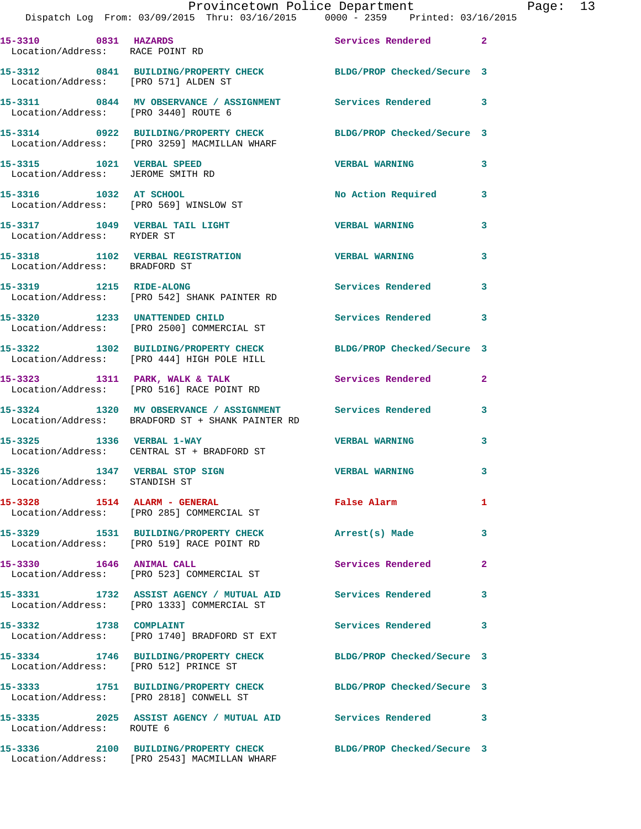|                                                                | Provincetown Police Department<br>Dispatch Log From: 03/09/2015 Thru: 03/16/2015                0000 - 2359    Printed: 03/16/2015 |                          |              | Page: 13 |  |
|----------------------------------------------------------------|------------------------------------------------------------------------------------------------------------------------------------|--------------------------|--------------|----------|--|
| 15-3310 0831 HAZARDS<br>Location/Address: RACE POINT RD        |                                                                                                                                    | Services Rendered 2      |              |          |  |
| Location/Address: [PRO 571] ALDEN ST                           | 15-3312 0841 BUILDING/PROPERTY CHECK BLDG/PROP Checked/Secure 3<br>Iocation/Address: [PRO 571] ALDEN ST                            |                          |              |          |  |
| Location/Address: [PRO 3440] ROUTE 6                           | 15-3311 0844 MV OBSERVANCE / ASSIGNMENT Services Rendered 3                                                                        |                          |              |          |  |
|                                                                | 15-3314 0922 BUILDING/PROPERTY CHECK BLDG/PROP Checked/Secure 3<br>Location/Address: [PRO 3259] MACMILLAN WHARF                    |                          |              |          |  |
| Location/Address: JEROME SMITH RD                              | 15-3315 1021 VERBAL SPEED                                                                                                          | <b>VERBAL WARNING</b>    | 3            |          |  |
|                                                                | 15-3316 1032 AT SCHOOL<br>Location/Address: [PRO 569] WINSLOW ST                                                                   | No Action Required 3     |              |          |  |
| Location/Address: RYDER ST                                     | 15-3317 1049 VERBAL TAIL LIGHT 1997 VERBAL WARNING                                                                                 |                          | 3            |          |  |
| Location/Address: BRADFORD ST                                  | 15-3318 1102 VERBAL REGISTRATION WERBAL WARNING                                                                                    |                          | 3            |          |  |
|                                                                | 15-3319 1215 RIDE-ALONG<br>Location/Address: [PRO 542] SHANK PAINTER RD                                                            | Services Rendered 3      |              |          |  |
|                                                                | 15-3320 1233 UNATTENDED CHILD Services Rendered<br>Location/Address: [PRO 2500] COMMERCIAL ST                                      |                          | 3            |          |  |
|                                                                | 15-3322 1302 BUILDING/PROPERTY CHECK BLDG/PROP Checked/Secure 3<br>Location/Address: [PRO 444] HIGH POLE HILL                      |                          |              |          |  |
|                                                                | 15-3323 1311 PARK, WALK & TALK<br>Location/Address: [PRO 516] RACE POINT RD                                                        | Services Rendered        | $\mathbf{2}$ |          |  |
|                                                                | 15-3324 1320 MV OBSERVANCE / ASSIGNMENT Services Rendered 3<br>Location/Address: BRADFORD ST + SHANK PAINTER RD                    |                          |              |          |  |
|                                                                | 15-3325 1336 VERBAL 1-WAY 1 2008 VERBAL WARNING<br>Location/Address: CENTRAL ST + BRADFORD ST                                      |                          | 3            |          |  |
| 15-3326 1347 VERBAL STOP SIGN<br>Location/Address: STANDISH ST |                                                                                                                                    | <b>VERBAL WARNING</b>    | 3            |          |  |
|                                                                | 15-3328 1514 ALARM - GENERAL<br>Location/Address: [PRO 285] COMMERCIAL ST                                                          | False Alarm              | $\mathbf{1}$ |          |  |
|                                                                | 15-3329 1531 BUILDING/PROPERTY CHECK Arrest(s) Made<br>Location/Address: [PRO 519] RACE POINT RD                                   |                          | 3            |          |  |
| 15-3330 1646 ANIMAL CALL                                       | Location/Address: [PRO 523] COMMERCIAL ST                                                                                          | <b>Services Rendered</b> | $\mathbf{2}$ |          |  |
|                                                                | 15-3331 1732 ASSIST AGENCY / MUTUAL AID Services Rendered<br>Location/Address: [PRO 1333] COMMERCIAL ST                            |                          | 3            |          |  |
| 15-3332 1738 COMPLAINT                                         | Location/Address: [PRO 1740] BRADFORD ST EXT                                                                                       | Services Rendered        | 3            |          |  |
| Location/Address: [PRO 512] PRINCE ST                          | 15-3334 1746 BUILDING/PROPERTY CHECK BLDG/PROP Checked/Secure 3                                                                    |                          |              |          |  |
|                                                                | 15-3333 1751 BUILDING/PROPERTY CHECK BLDG/PROP Checked/Secure 3<br>Location/Address: [PRO 2818] CONWELL ST                         |                          |              |          |  |
| Location/Address: ROUTE 6                                      | 15-3335 2025 ASSIST AGENCY / MUTUAL AID Services Rendered 3                                                                        |                          |              |          |  |
|                                                                | 15-3336 2100 BUILDING/PROPERTY CHECK BLDG/PROP Checked/Secure 3                                                                    |                          |              |          |  |

Location/Address: [PRO 2543] MACMILLAN WHARF